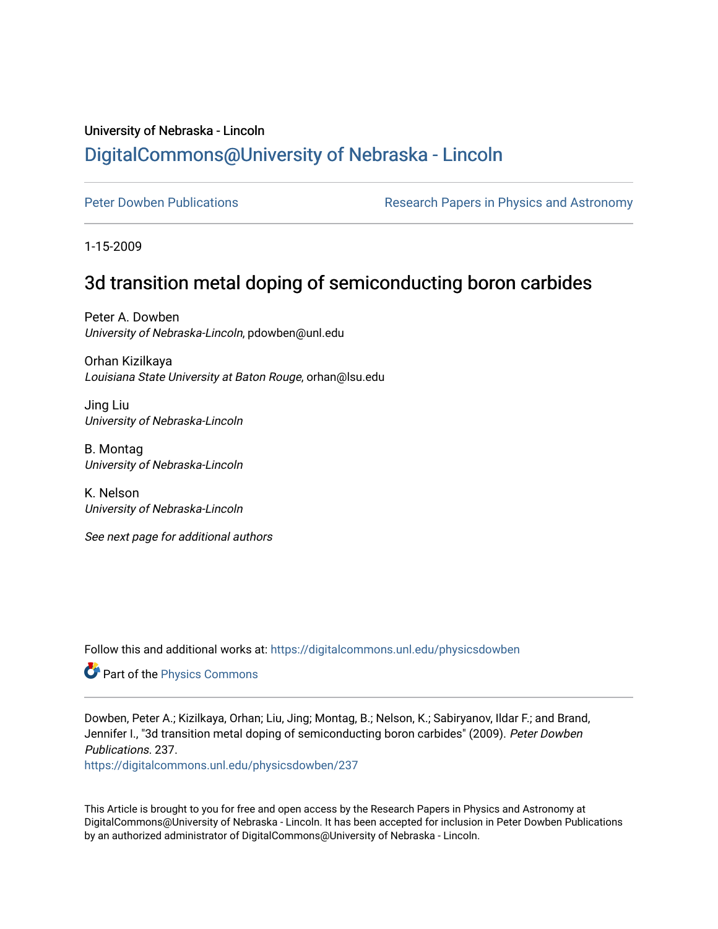# University of Nebraska - Lincoln [DigitalCommons@University of Nebraska - Lincoln](https://digitalcommons.unl.edu/)

[Peter Dowben Publications](https://digitalcommons.unl.edu/physicsdowben) **Research Papers in Physics and Astronomy** 

1-15-2009

# 3d transition metal doping of semiconducting boron carbides

Peter A. Dowben University of Nebraska-Lincoln, pdowben@unl.edu

Orhan Kizilkaya Louisiana State University at Baton Rouge, orhan@lsu.edu

Jing Liu University of Nebraska-Lincoln

B. Montag University of Nebraska-Lincoln

K. Nelson University of Nebraska-Lincoln

See next page for additional authors

Follow this and additional works at: [https://digitalcommons.unl.edu/physicsdowben](https://digitalcommons.unl.edu/physicsdowben?utm_source=digitalcommons.unl.edu%2Fphysicsdowben%2F237&utm_medium=PDF&utm_campaign=PDFCoverPages) 

**Part of the [Physics Commons](http://network.bepress.com/hgg/discipline/193?utm_source=digitalcommons.unl.edu%2Fphysicsdowben%2F237&utm_medium=PDF&utm_campaign=PDFCoverPages)** 

Dowben, Peter A.; Kizilkaya, Orhan; Liu, Jing; Montag, B.; Nelson, K.; Sabiryanov, Ildar F.; and Brand, Jennifer I., "3d transition metal doping of semiconducting boron carbides" (2009). Peter Dowben Publications. 237.

[https://digitalcommons.unl.edu/physicsdowben/237](https://digitalcommons.unl.edu/physicsdowben/237?utm_source=digitalcommons.unl.edu%2Fphysicsdowben%2F237&utm_medium=PDF&utm_campaign=PDFCoverPages) 

This Article is brought to you for free and open access by the Research Papers in Physics and Astronomy at DigitalCommons@University of Nebraska - Lincoln. It has been accepted for inclusion in Peter Dowben Publications by an authorized administrator of DigitalCommons@University of Nebraska - Lincoln.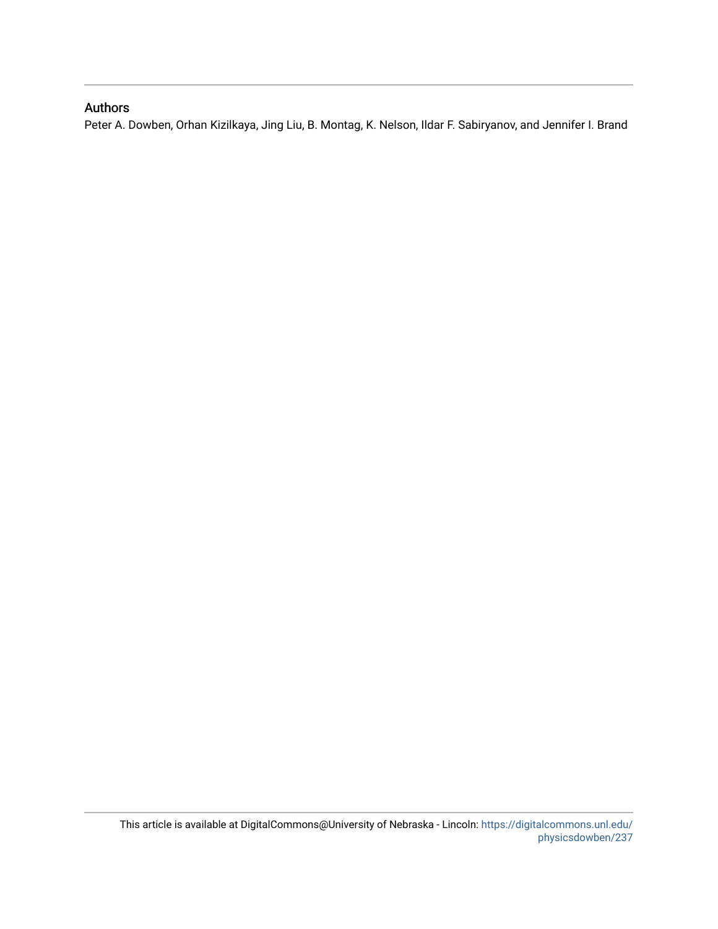# Authors

Peter A. Dowben, Orhan Kizilkaya, Jing Liu, B. Montag, K. Nelson, Ildar F. Sabiryanov, and Jennifer I. Brand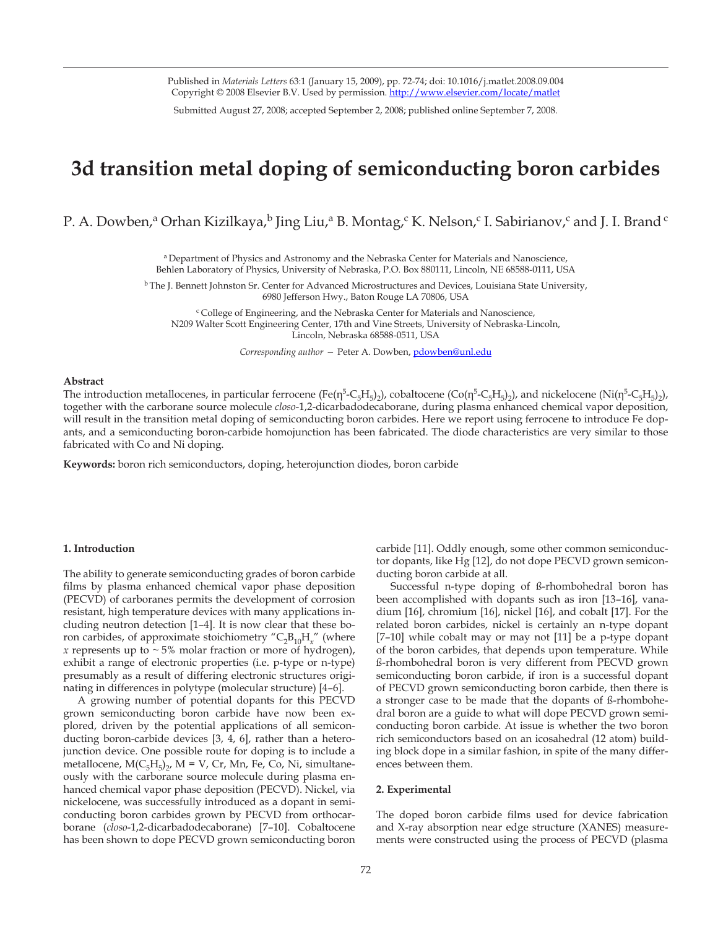Published in *Materials Letters* 63:1 (January 15, 2009), pp. 72-74; doi: 10.1016/j.matlet.2008.09.004 Copyright © 2008 Elsevier B.V. Used by permission. http://www.elsevier.com/locate/matlet

Submitted August 27, 2008; accepted September 2, 2008; published online September 7, 2008.

# **3d transition metal doping of semiconducting boron carbides**

P. A. Dowben,<sup>a</sup> Orhan Kizilkaya,<sup>b</sup> Jing Liu,<sup>a</sup> B. Montag,<sup>c</sup> K. Nelson,<sup>c</sup> I. Sabirianov,<sup>c</sup> and J. I. Brand <sup>c</sup>

a Department of Physics and Astronomy and the Nebraska Center for Materials and Nanoscience, Behlen Laboratory of Physics, University of Nebraska, P.O. Box 880111, Lincoln, NE 68588-0111, USA

<sup>b</sup> The J. Bennett Johnston Sr. Center for Advanced Microstructures and Devices, Louisiana State University, 6980 Jefferson Hwy., Baton Rouge LA 70806, USA

 $c$ College of Engineering, and the Nebraska Center for Materials and Nanoscience, N209 Walter Scott Engineering Center, 17th and Vine Streets, University of Nebraska-Lincoln, Lincoln, Nebraska 68588-0511, USA

*Corresponding author —* Peter A. Dowben, pdowben@unl.edu

### **Abstract**

The introduction metallocenes, in particular ferrocene (Fe(η<sup>5</sup>-C<sub>5</sub>H<sub>5</sub>)<sub>2</sub>), cobaltocene (Co(η<sup>5</sup>-C<sub>5</sub>H<sub>5</sub>)<sub>2</sub>), and nickelocene (Ni(η<sup>5</sup>-C<sub>5</sub>H<sub>5</sub>)<sub>2</sub>), together with the carborane source molecule *closo*-1,2-dicarbadodecaborane, during plasma enhanced chemical vapor deposition, will result in the transition metal doping of semiconducting boron carbides. Here we report using ferrocene to introduce Fe dopants, and a semiconducting boron-carbide homojunction has been fabricated. The diode characteristics are very similar to those fabricated with Co and Ni doping.

**Keywords:** boron rich semiconductors, doping, heterojunction diodes, boron carbide

### **1. Introduction**

The ability to generate semiconducting grades of boron carbide films by plasma enhanced chemical vapor phase deposition (PECVD) of carboranes permits the development of corrosion resistant, high temperature devices with many applications including neutron detection [1–4]. It is now clear that these boron carbides, of approximate stoichiometry " $C_2B_{10}H_x$ " (where *x* represents up to  $\sim$  5% molar fraction or more of hydrogen), exhibit a range of electronic properties (i.e. p-type or n-type) presumably as a result of differing electronic structures originating in differences in polytype (molecular structure) [4–6].

A growing number of potential dopants for this PECVD grown semiconducting boron carbide have now been explored, driven by the potential applications of all semiconducting boron-carbide devices [3, 4, 6], rather than a heterojunction device. One possible route for doping is to include a metallocene,  $M(C_5H_5)_2$ ,  $M = V$ ,  $Cr$ ,  $Mn$ ,  $Fe$ ,  $Co$ ,  $Ni$ , simultaneously with the carborane source molecule during plasma enhanced chemical vapor phase deposition (PECVD). Nickel, via nickelocene, was successfully introduced as a dopant in semiconducting boron carbides grown by PECVD from orthocarborane (*closo*-1,2-dicarbadodecaborane) [7–10]. Cobaltocene has been shown to dope PECVD grown semiconducting boron carbide [11]. Oddly enough, some other common semiconductor dopants, like Hg [12], do not dope PECVD grown semiconducting boron carbide at all.

Successful n-type doping of ß-rhombohedral boron has been accomplished with dopants such as iron [13–16], vanadium [16], chromium [16], nickel [16], and cobalt [17]. For the related boron carbides, nickel is certainly an n-type dopant [7–10] while cobalt may or may not [11] be a p-type dopant of the boron carbides, that depends upon temperature. While ß-rhombohedral boron is very different from PECVD grown semiconducting boron carbide, if iron is a successful dopant of PECVD grown semiconducting boron carbide, then there is a stronger case to be made that the dopants of ß-rhombohedral boron are a guide to what will dope PECVD grown semiconducting boron carbide. At issue is whether the two boron rich semiconductors based on an icosahedral (12 atom) building block dope in a similar fashion, in spite of the many differences between them.

#### **2. Experimental**

The doped boron carbide films used for device fabrication and X-ray absorption near edge structure (XANES) measurements were constructed using the process of PECVD (plasma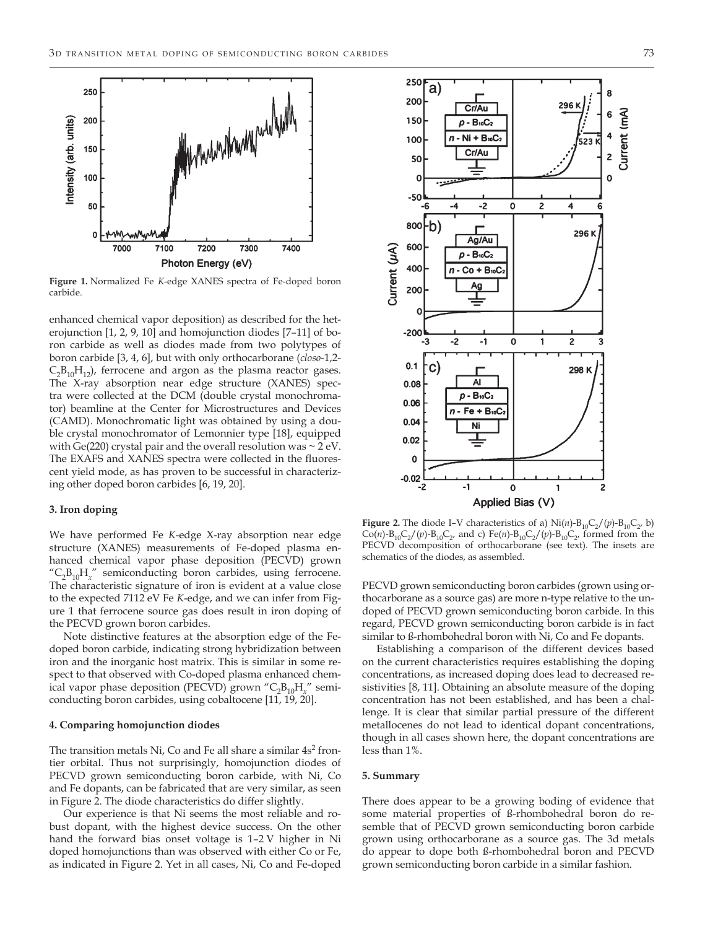

**Figure 1.** Normalized Fe *K*-edge XANES spectra of Fe-doped boron carbide.

enhanced chemical vapor deposition) as described for the heterojunction [1, 2, 9, 10] and homojunction diodes [7–11] of boron carbide as well as diodes made from two polytypes of boron carbide [3, 4, 6], but with only orthocarborane (*closo*-1,2-  $C_2B_{10}H_{12}$ , ferrocene and argon as the plasma reactor gases. The X-ray absorption near edge structure (XANES) spectra were collected at the DCM (double crystal monochromator) beamline at the Center for Microstructures and Devices (CAMD). Monochromatic light was obtained by using a double crystal monochromator of Lemonnier type [18], equipped with Ge(220) crystal pair and the overall resolution was  $\sim$  2 eV. The EXAFS and XANES spectra were collected in the fluorescent yield mode, as has proven to be successful in characterizing other doped boron carbides [6, 19, 20].

## **3. Iron doping**

We have performed Fe *K*-edge X-ray absorption near edge structure (XANES) measurements of Fe-doped plasma enhanced chemical vapor phase deposition (PECVD) grown "C2B10H*x*" semiconducting boron carbides, using ferrocene. The characteristic signature of iron is evident at a value close to the expected 7112 eV Fe *K*-edge, and we can infer from Figure 1 that ferrocene source gas does result in iron doping of the PECVD grown boron carbides.

Note distinctive features at the absorption edge of the Fedoped boron carbide, indicating strong hybridization between iron and the inorganic host matrix. This is similar in some respect to that observed with Co-doped plasma enhanced chemical vapor phase deposition (PECVD) grown "C<sub>2</sub>B<sub>10</sub>H<sub>x</sub>" semiconducting boron carbides, using cobaltocene [11, 19, 20].

#### **4. Comparing homojunction diodes**

The transition metals Ni, Co and Fe all share a similar  $4s<sup>2</sup>$  frontier orbital. Thus not surprisingly, homojunction diodes of PECVD grown semiconducting boron carbide, with Ni, Co and Fe dopants, can be fabricated that are very similar, as seen in Figure 2. The diode characteristics do differ slightly.

Our experience is that Ni seems the most reliable and robust dopant, with the highest device success. On the other hand the forward bias onset voltage is 1–2 V higher in Ni doped homojunctions than was observed with either Co or Fe, as indicated in Figure 2. Yet in all cases, Ni, Co and Fe-doped



**Figure 2.** The diode I–V characteristics of a)  $\text{Ni}(n)$ -B<sub>10</sub>C<sub>2</sub>/(*p*)-B<sub>10</sub>C<sub>2</sub>, b)  $Co(n)-B_{10}C_2/(p)-B_{10}C_2$ , and c)  $Fe(n)-B_{10}C_2/(p)-B_{10}C_2$ , formed from the PECVD decomposition of orthocarborane (see text). The insets are schematics of the diodes, as assembled.

PECVD grown semiconducting boron carbides (grown using orthocarborane as a source gas) are more n-type relative to the undoped of PECVD grown semiconducting boron carbide. In this regard, PECVD grown semiconducting boron carbide is in fact similar to ß-rhombohedral boron with Ni, Co and Fe dopants.

Establishing a comparison of the different devices based on the current characteristics requires establishing the doping concentrations, as increased doping does lead to decreased resistivities [8, 11]. Obtaining an absolute measure of the doping concentration has not been established, and has been a challenge. It is clear that similar partial pressure of the different metallocenes do not lead to identical dopant concentrations, though in all cases shown here, the dopant concentrations are less than 1%.

#### **5. Summary**

There does appear to be a growing boding of evidence that some material properties of ß-rhombohedral boron do resemble that of PECVD grown semiconducting boron carbide grown using orthocarborane as a source gas. The 3d metals do appear to dope both ß-rhombohedral boron and PECVD grown semiconducting boron carbide in a similar fashion.